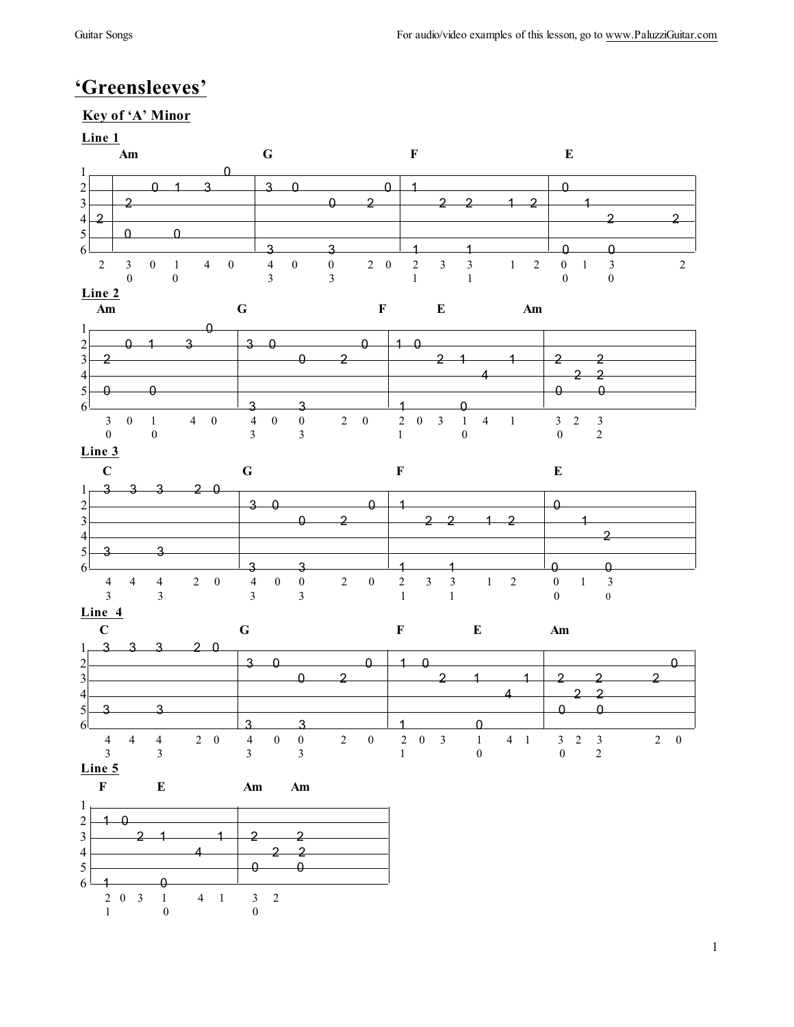# **'Greensleeves'**

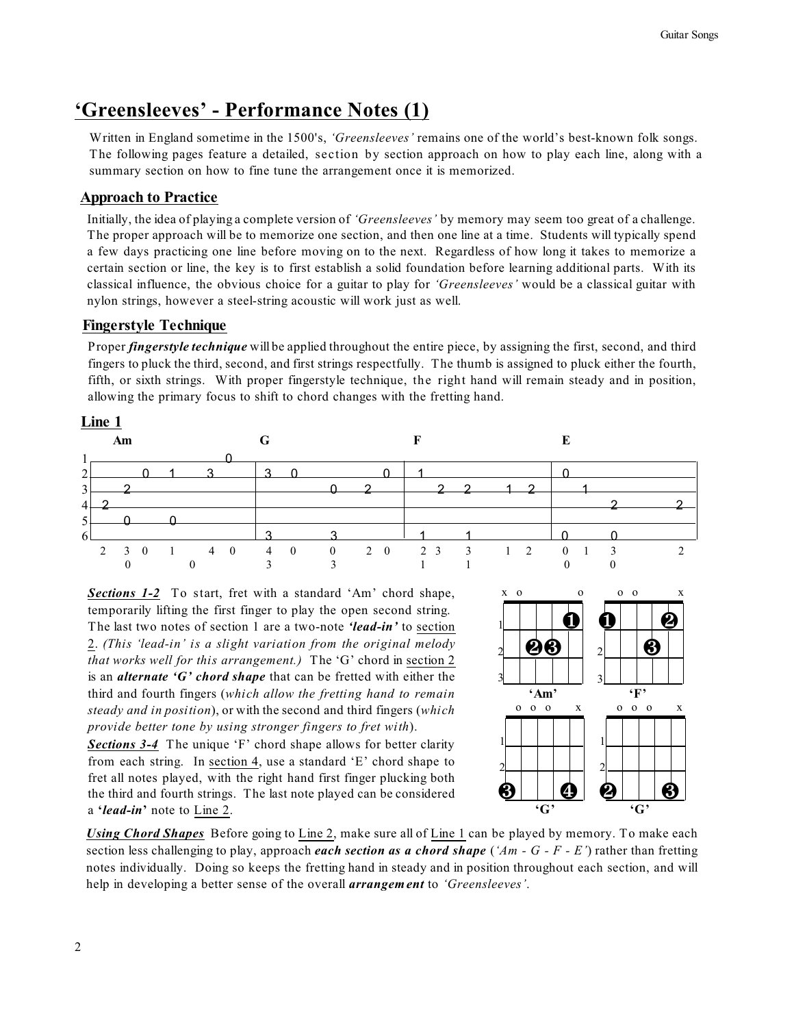# **'Greensleeves' - Performance Notes (1)**

Written in England sometime in the 1500's, *'Greensleeves'* remains one of the world's best-known folk songs. The following pages feature a detailed, section by section approach on how to play each line, along with a summary section on how to fine tune the arrangement once it is memorized.

## **Approach to Practice**

Initially, the idea of playing a complete version of *'Greensleeves'* by memory may seem too great of a challenge. The proper approach will be to memorize one section, and then one line at a time. Students will typically spend a few days practicing one line before moving on to the next. Regardless of how long it takes to memorize a certain section or line, the key is to first establish a solid foundation before learning additional parts. With its classical influence, the obvious choice for a guitar to play for *'Greensleeves'* would be a classical guitar with nylon strings, however a steel-string acoustic will work just as well.

## **Fingerstyle Technique**

Proper *fingerstyle technique* will be applied throughout the entire piece, by assigning the first, second, and third fingers to pluck the third, second, and first strings respectfully. The thumb is assigned to pluck either the fourth, fifth, or sixth strings. With proper fingerstyle technique, the right hand will remain steady and in position, allowing the primary focus to shift to chord changes with the fretting hand.



*Sections 1-2* To start, fret with a standard 'Am' chord shape, temporarily lifting the first finger to play the open second string. The last two notes of section 1 are a two-note *'lead-in'* to section 2. *(This 'lead-in' is a slight variation from the original melody that works well for this arrangement.)* The 'G' chord in section 2 is an *alternate 'G' chord shape* that can be fretted with either the third and fourth fingers (*which allow the fretting hand to remain steady and in position*), or with the second and third fingers (*which provide better tone by using stronger fingers to fret with*).

*Sections 3-4* The unique 'F' chord shape allows for better clarity from each string. In section 4, use a standard 'E' chord shape to fret all notes played, with the right hand first finger plucking both the third and fourth strings. The last note played can be considered a **'***lead-in***'** note to Line 2.



*Using Chord Shapes* Before going to Line 2, make sure all of Line 1 can be played by memory. To make each section less challenging to play, approach *each section as a chord shape* (*'Am - G - F - E'*) rather than fretting notes individually. Doing so keeps the fretting hand in steady and in position throughout each section, and will help in developing a better sense of the overall *arrangement* to *'Greensleeves'*.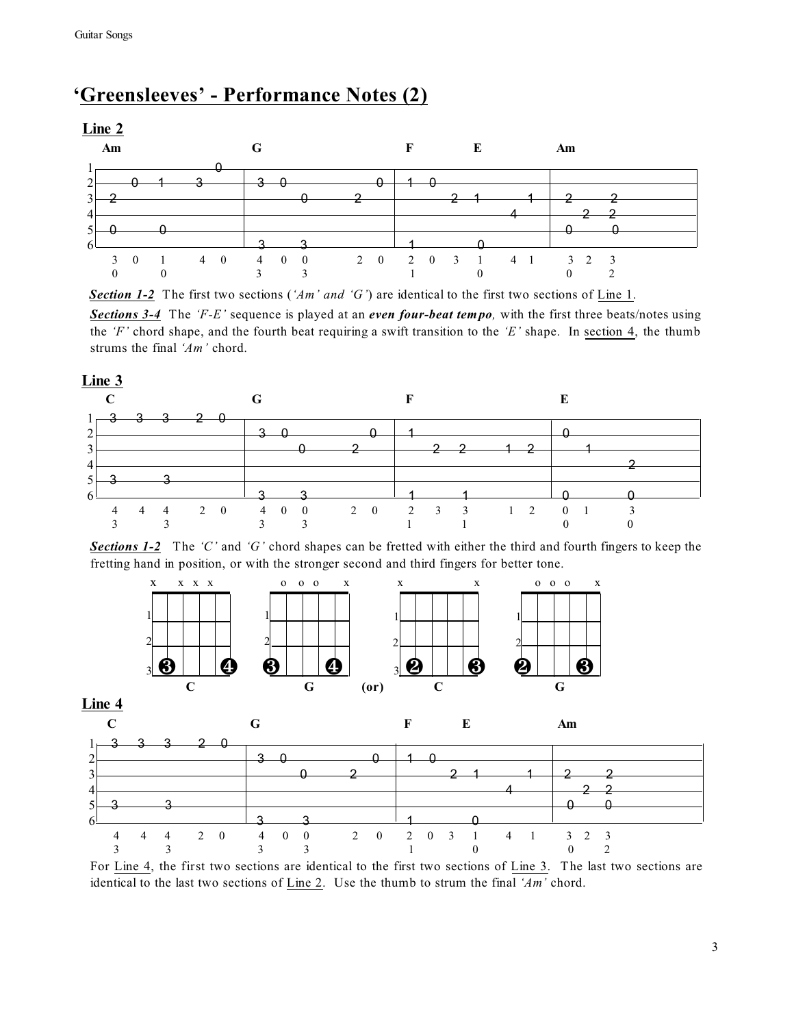# **'Greensleeves' - Performance Notes (2)**

**Line 2**



*Section 1-2* The first two sections (*'Am' and 'G'*) are identical to the first two sections of Line 1.

*Sections 3-4* The *'F-E'* sequence is played at an *even four-beat tempo,* with the first three beats/notes using the *'F'* chord shape, and the fourth beat requiring a swift transition to the *'E'* shape. In section 4, the thumb strums the final *'Am'* chord.

## **Line 3**

|                |   |  | $1 - 3$ 3 3 2 0 |                                 |  |  |  |          |                |  |            |  |  |
|----------------|---|--|-----------------|---------------------------------|--|--|--|----------|----------------|--|------------|--|--|
| $\overline{2}$ |   |  |                 | $\overline{3}$ 0                |  |  |  | $\sim$ 1 |                |  |            |  |  |
| 3              |   |  |                 |                                 |  |  |  |          | 2 <sub>2</sub> |  | $\sqrt{1}$ |  |  |
|                |   |  |                 |                                 |  |  |  |          |                |  |            |  |  |
| $\epsilon$     |   |  |                 |                                 |  |  |  |          |                |  |            |  |  |
| 6              |   |  |                 | 2                               |  |  |  |          |                |  |            |  |  |
|                | 4 |  |                 | 4 4 2 0 4 0 0 2 0 2 3 3 1 2 0 1 |  |  |  |          |                |  |            |  |  |
|                |   |  |                 |                                 |  |  |  |          |                |  |            |  |  |

*Sections 1-2* The *'C'* and *'G'* chord shapes can be fretted with either the third and fourth fingers to keep the fretting hand in position, or with the stronger second and third fingers for better tone.





For Line 4, the first two sections are identical to the first two sections of Line 3. The last two sections are identical to the last two sections of Line 2. Use the thumb to strum the final *'Am'* chord.